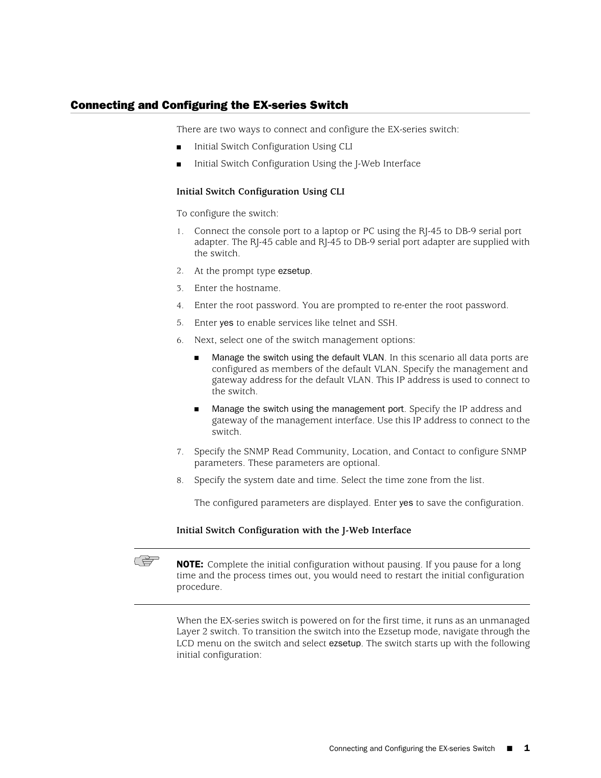## Connecting and Configuring the EX-series Switch

There are two ways to connect and configure the EX-series switch:

- Initial Switch Configuration Using CLI
- Initial Switch Configuration Using the J-Web Interface

## **Initial Switch Configuration Using CLI**

To configure the switch:

- 1. Connect the console port to a laptop or PC using the RJ-45 to DB-9 serial port adapter. The RJ-45 cable and RJ-45 to DB-9 serial port adapter are supplied with the switch.
- 2. At the prompt type ezsetup.
- 3. Enter the hostname.
- 4. Enter the root password. You are prompted to re-enter the root password.
- 5. Enter yes to enable services like telnet and SSH.
- 6. Next, select one of the switch management options:
	- Manage the switch using the default VLAN. In this scenario all data ports are configured as members of the default VLAN. Specify the management and gateway address for the default VLAN. This IP address is used to connect to the switch.
	- Manage the switch using the management port. Specify the IP address and gateway of the management interface. Use this IP address to connect to the switch.
- 7. Specify the SNMP Read Community, Location, and Contact to configure SNMP parameters. These parameters are optional.
- 8. Specify the system date and time. Select the time zone from the list.

The configured parameters are displayed. Enter yes to save the configuration.

## **Initial Switch Configuration with the J-Web Interface**



**NOTE:** Complete the initial configuration without pausing. If you pause for a long time and the process times out, you would need to restart the initial configuration procedure.

When the EX-series switch is powered on for the first time, it runs as an unmanaged Layer 2 switch. To transition the switch into the Ezsetup mode, navigate through the LCD menu on the switch and select ezsetup. The switch starts up with the following initial configuration: